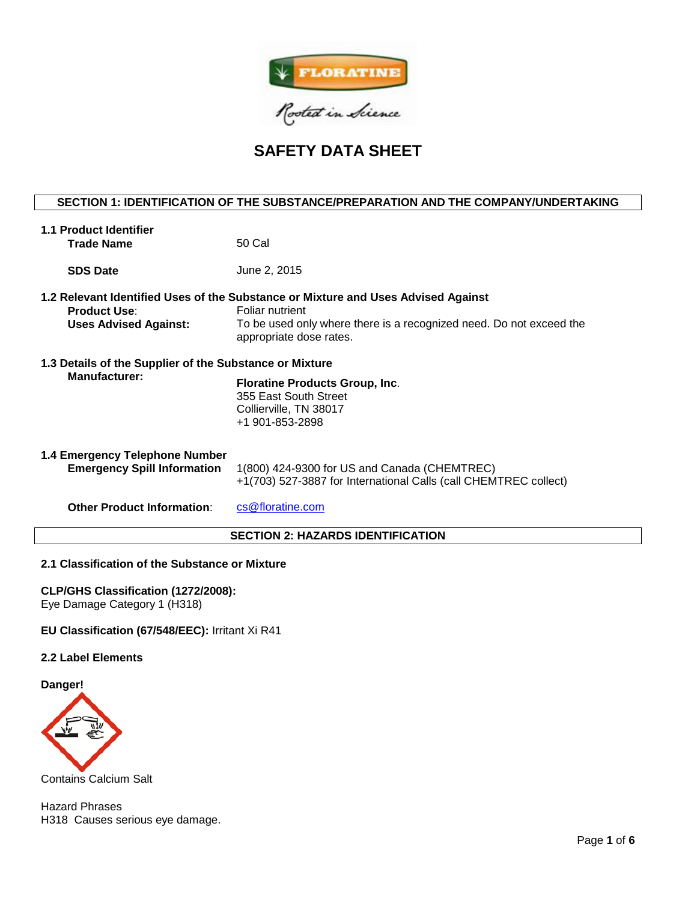

**SAFETY DATA SHEET**

# **SECTION 1: IDENTIFICATION OF THE SUBSTANCE/PREPARATION AND THE COMPANY/UNDERTAKING**

| 1.1 Product Identifier                                                          |                                                                                                                                                                                                        |  |  |  |
|---------------------------------------------------------------------------------|--------------------------------------------------------------------------------------------------------------------------------------------------------------------------------------------------------|--|--|--|
| <b>Trade Name</b>                                                               | 50 Cal                                                                                                                                                                                                 |  |  |  |
| <b>SDS Date</b>                                                                 | June 2, 2015                                                                                                                                                                                           |  |  |  |
| <b>Product Use:</b><br><b>Uses Advised Against:</b>                             | 1.2 Relevant Identified Uses of the Substance or Mixture and Uses Advised Against<br>Foliar nutrient<br>To be used only where there is a recognized need. Do not exceed the<br>appropriate dose rates. |  |  |  |
| 1.3 Details of the Supplier of the Substance or Mixture<br><b>Manufacturer:</b> | <b>Floratine Products Group, Inc.</b><br>355 East South Street<br>Collierville, TN 38017<br>+1 901-853-2898                                                                                            |  |  |  |
| 1.4 Emergency Telephone Number<br><b>Emergency Spill Information</b>            | 1(800) 424-9300 for US and Canada (CHEMTREC)<br>+1(703) 527-3887 for International Calls (call CHEMTREC collect)                                                                                       |  |  |  |
| <b>Other Product Information:</b>                                               | cs@floratine.com                                                                                                                                                                                       |  |  |  |
| <b>SECTION 2: HAZARDS IDENTIFICATION</b>                                        |                                                                                                                                                                                                        |  |  |  |

# **2.1 Classification of the Substance or Mixture**

**CLP/GHS Classification (1272/2008):**  Eye Damage Category 1 (H318)

# **EU Classification (67/548/EEC):** Irritant Xi R41

#### **2.2 Label Elements**

**Danger!**



Contains Calcium Salt

Hazard Phrases H318 Causes serious eye damage.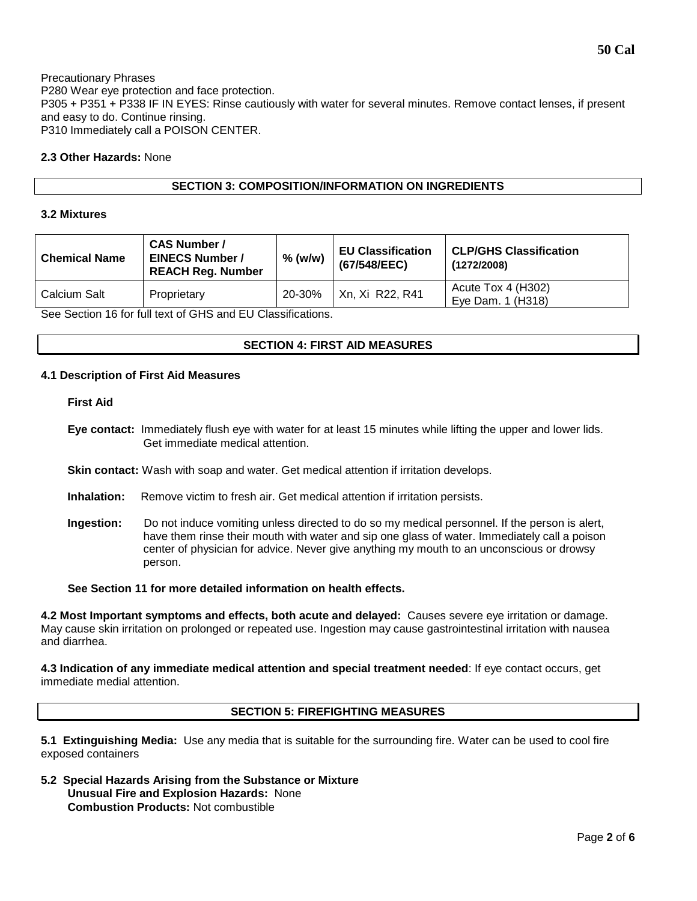# **2.3 Other Hazards:** None

# **SECTION 3: COMPOSITION/INFORMATION ON INGREDIENTS**

### **3.2 Mixtures**

| <b>Chemical Name</b> | <b>CAS Number /</b><br><b>EINECS Number /</b><br><b>REACH Reg. Number</b> | $%$ (w/w) | <b>EU Classification</b><br>(67/548/EEC) | <b>CLP/GHS Classification</b><br>(1272/2008) |  |
|----------------------|---------------------------------------------------------------------------|-----------|------------------------------------------|----------------------------------------------|--|
| Calcium Salt         | Proprietary                                                               | 20-30%    | Xn, Xi R22, R41                          | Acute Tox 4 (H302)<br>Eye Dam. 1 (H318)      |  |
| ----<br>- - -<br>.   |                                                                           |           |                                          |                                              |  |

See Section 16 for full text of GHS and EU Classifications.

# **SECTION 4: FIRST AID MEASURES**

### **4.1 Description of First Aid Measures**

### **First Aid**

- **Eye contact:** Immediately flush eye with water for at least 15 minutes while lifting the upper and lower lids. Get immediate medical attention.
- **Skin contact:** Wash with soap and water. Get medical attention if irritation develops.
- **Inhalation:** Remove victim to fresh air. Get medical attention if irritation persists.
- **Ingestion:** Do not induce vomiting unless directed to do so my medical personnel. If the person is alert, have them rinse their mouth with water and sip one glass of water. Immediately call a poison center of physician for advice. Never give anything my mouth to an unconscious or drowsy person.

# **See Section 11 for more detailed information on health effects.**

**4.2 Most Important symptoms and effects, both acute and delayed:** Causes severe eye irritation or damage. May cause skin irritation on prolonged or repeated use. Ingestion may cause gastrointestinal irritation with nausea and diarrhea.

**4.3 Indication of any immediate medical attention and special treatment needed**: If eye contact occurs, get immediate medial attention.

# **SECTION 5: FIREFIGHTING MEASURES**

**5.1 Extinguishing Media:** Use any media that is suitable for the surrounding fire. Water can be used to cool fire exposed containers

**5.2 Special Hazards Arising from the Substance or Mixture Unusual Fire and Explosion Hazards:** None **Combustion Products:** Not combustible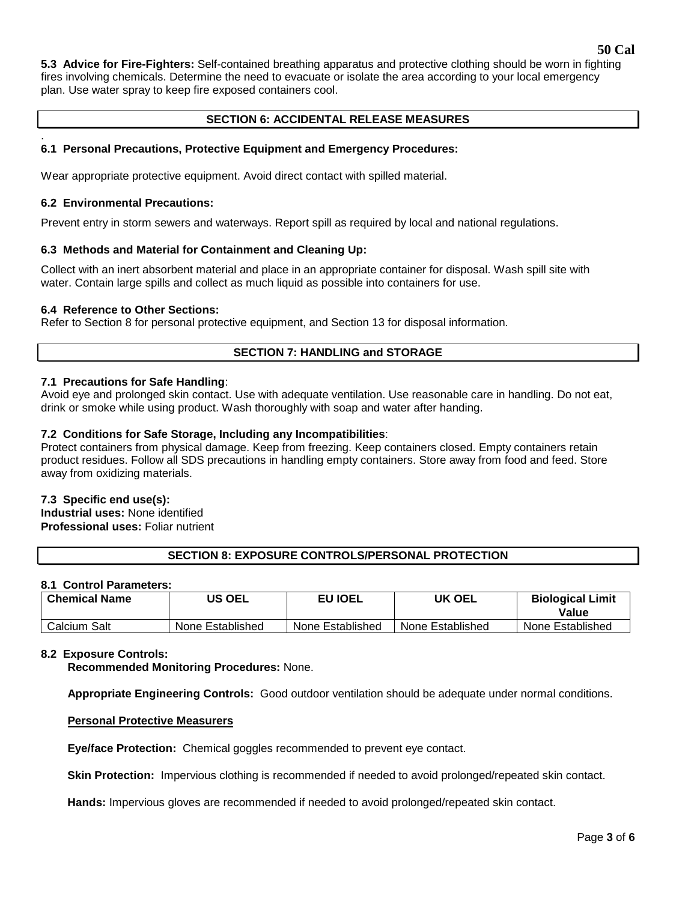**5.3 Advice for Fire-Fighters:** Self-contained breathing apparatus and protective clothing should be worn in fighting fires involving chemicals. Determine the need to evacuate or isolate the area according to your local emergency plan. Use water spray to keep fire exposed containers cool.

# **SECTION 6: ACCIDENTAL RELEASE MEASURES**

#### . **6.1 Personal Precautions, Protective Equipment and Emergency Procedures:**

Wear appropriate protective equipment. Avoid direct contact with spilled material.

### **6.2 Environmental Precautions:**

Prevent entry in storm sewers and waterways. Report spill as required by local and national regulations.

# **6.3 Methods and Material for Containment and Cleaning Up:**

Collect with an inert absorbent material and place in an appropriate container for disposal. Wash spill site with water. Contain large spills and collect as much liquid as possible into containers for use.

# **6.4 Reference to Other Sections:**

Refer to Section 8 for personal protective equipment, and Section 13 for disposal information.

# **SECTION 7: HANDLING and STORAGE**

# **7.1 Precautions for Safe Handling**:

Avoid eye and prolonged skin contact. Use with adequate ventilation. Use reasonable care in handling. Do not eat, drink or smoke while using product. Wash thoroughly with soap and water after handing.

# **7.2 Conditions for Safe Storage, Including any Incompatibilities**:

Protect containers from physical damage. Keep from freezing. Keep containers closed. Empty containers retain product residues. Follow all SDS precautions in handling empty containers. Store away from food and feed. Store away from oxidizing materials.

#### **7.3 Specific end use(s):**

**Industrial uses:** None identified **Professional uses:** Foliar nutrient

# **SECTION 8: EXPOSURE CONTROLS/PERSONAL PROTECTION**

# **8.1 Control Parameters:**

| <b>Chemical Name</b> | US OEL           | EU IOEL          | UK OEL           | <b>Biological Limit</b><br>Value |
|----------------------|------------------|------------------|------------------|----------------------------------|
| Calcium Salt         | None Established | None Established | None Established | None Established                 |

#### **8.2 Exposure Controls:**

**Recommended Monitoring Procedures:** None.

**Appropriate Engineering Controls:** Good outdoor ventilation should be adequate under normal conditions.

#### **Personal Protective Measurers**

**Eye/face Protection:** Chemical goggles recommended to prevent eye contact.

**Skin Protection:** Impervious clothing is recommended if needed to avoid prolonged/repeated skin contact.

**Hands:** Impervious gloves are recommended if needed to avoid prolonged/repeated skin contact.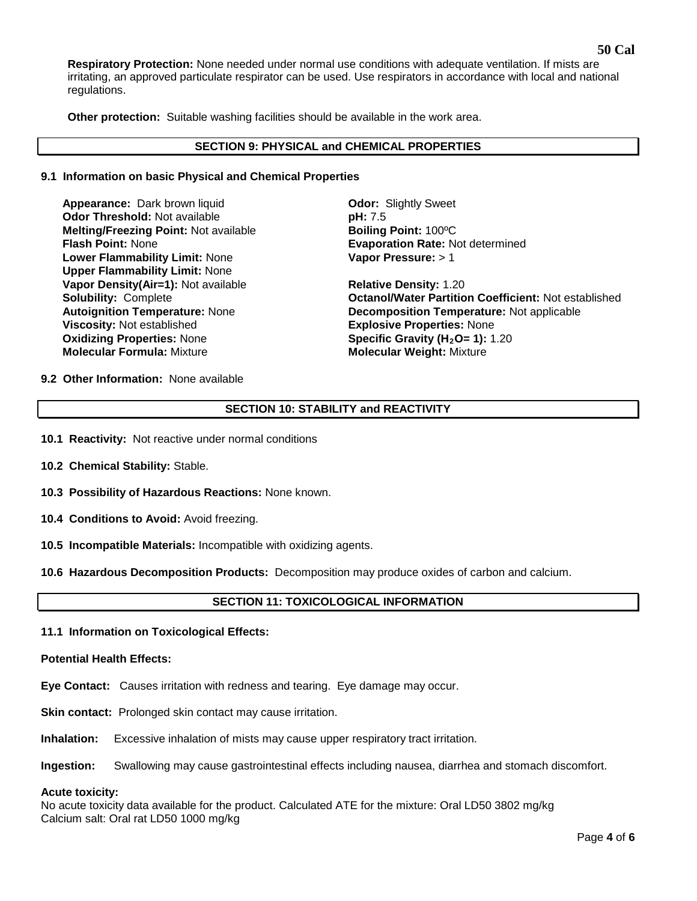**Respiratory Protection:** None needed under normal use conditions with adequate ventilation. If mists are irritating, an approved particulate respirator can be used. Use respirators in accordance with local and national regulations.

**Other protection:** Suitable washing facilities should be available in the work area.

### **SECTION 9: PHYSICAL and CHEMICAL PROPERTIES**

### **9.1 Information on basic Physical and Chemical Properties**

**Appearance:** Dark brown liquid **Odor:** Slightly Sweet **Odor Threshold:** Not available **pH: 7.5 Melting/Freezing Point:** Not available **Boiling Point: 100°C**<br>**Flash Point: None Boiling Point: None Lower Flammability Limit:** None **Upper Flammability Limit:** None **Vapor Density(Air=1):** Not available **Relative Density:** 1.20 **Viscosity: Not established Oxidizing Properties: None Oxidizing Properties: None <b>Specific Gravity (H<sub>2</sub>O= 1):** 1.20<br> **Molecular Formula:** Mixture **State of Molecular Weight: Mixture** 

**Evaporation Rate: Not determined Vapor Pressure:** > 1

**Solubility:** Complete **Octanol/Water Partition Coefficient:** Not established Autoignition Temperature: None **Decomposition Temperature:** Not applicable<br> **Viscosity:** Not established **Decomposition Temperature: None Molecular Weight: Mixture** 

**9.2 Other Information:** None available

# **SECTION 10: STABILITY and REACTIVITY**

- **10.1 Reactivity:** Not reactive under normal conditions
- **10.2 Chemical Stability:** Stable.
- **10.3 Possibility of Hazardous Reactions:** None known.
- **10.4 Conditions to Avoid:** Avoid freezing.
- **10.5 Incompatible Materials:** Incompatible with oxidizing agents.
- **10.6 Hazardous Decomposition Products:** Decomposition may produce oxides of carbon and calcium.

# **SECTION 11: TOXICOLOGICAL INFORMATION**

**11.1 Information on Toxicological Effects:** 

### **Potential Health Effects:**

- **Eye Contact:** Causes irritation with redness and tearing. Eye damage may occur.
- **Skin contact:** Prolonged skin contact may cause irritation.
- **Inhalation:** Excessive inhalation of mists may cause upper respiratory tract irritation.
- **Ingestion:** Swallowing may cause gastrointestinal effects including nausea, diarrhea and stomach discomfort.

#### **Acute toxicity:**

No acute toxicity data available for the product. Calculated ATE for the mixture: Oral LD50 3802 mg/kg Calcium salt: Oral rat LD50 1000 mg/kg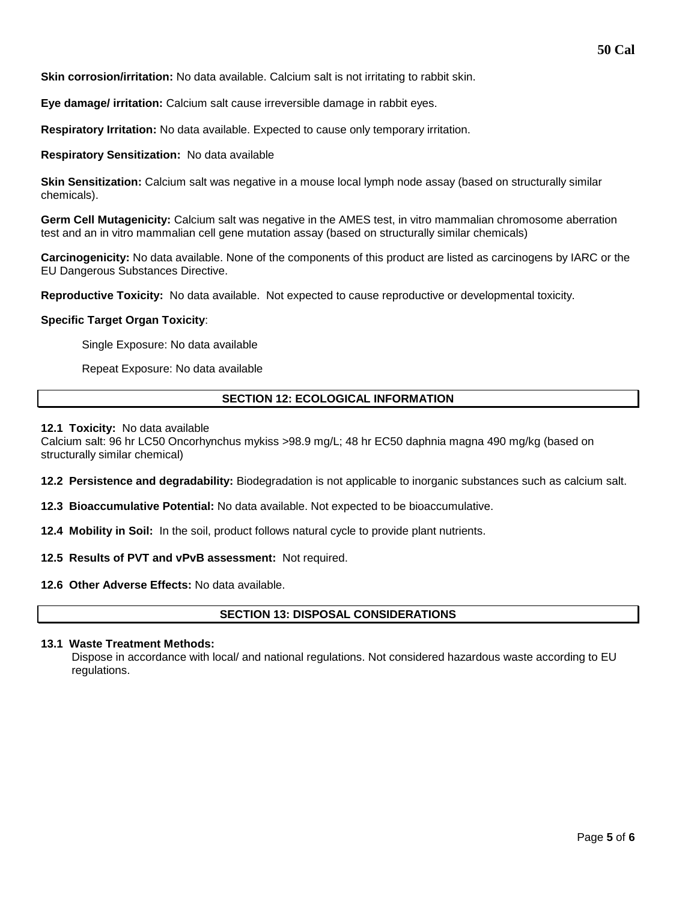**Skin corrosion/irritation:** No data available. Calcium salt is not irritating to rabbit skin.

**Eye damage/ irritation:** Calcium salt cause irreversible damage in rabbit eyes.

**Respiratory Irritation:** No data available. Expected to cause only temporary irritation.

**Respiratory Sensitization:** No data available

**Skin Sensitization:** Calcium salt was negative in a mouse local lymph node assay (based on structurally similar chemicals).

**Germ Cell Mutagenicity:** Calcium salt was negative in the AMES test, in vitro mammalian chromosome aberration test and an in vitro mammalian cell gene mutation assay (based on structurally similar chemicals)

**Carcinogenicity:** No data available. None of the components of this product are listed as carcinogens by IARC or the EU Dangerous Substances Directive.

**Reproductive Toxicity:** No data available. Not expected to cause reproductive or developmental toxicity.

### **Specific Target Organ Toxicity**:

Single Exposure: No data available

Repeat Exposure: No data available

# **SECTION 12: ECOLOGICAL INFORMATION**

#### **12.1 Toxicity:** No data available

Calcium salt: 96 hr LC50 Oncorhynchus mykiss >98.9 mg/L; 48 hr EC50 daphnia magna 490 mg/kg (based on structurally similar chemical)

**12.2 Persistence and degradability:** Biodegradation is not applicable to inorganic substances such as calcium salt.

**12.3 Bioaccumulative Potential:** No data available. Not expected to be bioaccumulative.

**12.4 Mobility in Soil:** In the soil, product follows natural cycle to provide plant nutrients.

**12.5 Results of PVT and vPvB assessment:** Not required.

**12.6 Other Adverse Effects:** No data available.

# **SECTION 13: DISPOSAL CONSIDERATIONS**

### **13.1 Waste Treatment Methods:**

Dispose in accordance with local/ and national regulations. Not considered hazardous waste according to EU regulations.